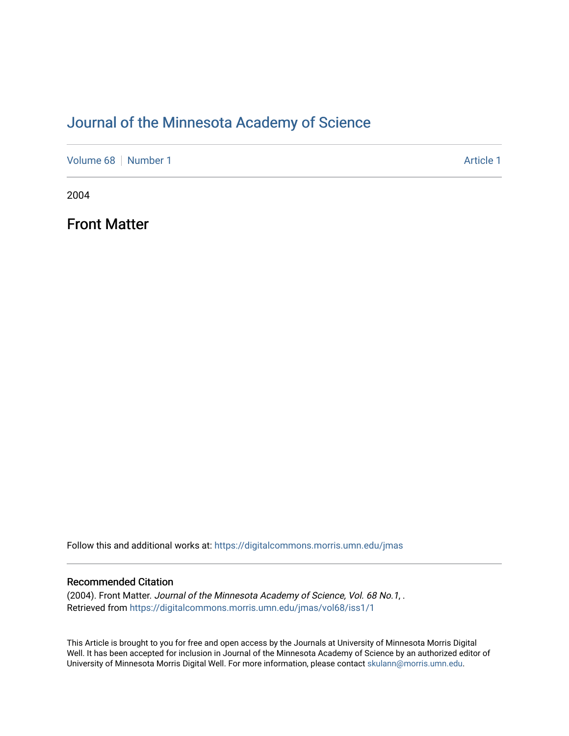### [Journal of the Minnesota Academy of Science](https://digitalcommons.morris.umn.edu/jmas)

[Volume 68](https://digitalcommons.morris.umn.edu/jmas/vol68) [Number 1](https://digitalcommons.morris.umn.edu/jmas/vol68/iss1) Article 1

2004

Front Matter

Follow this and additional works at: [https://digitalcommons.morris.umn.edu/jmas](https://digitalcommons.morris.umn.edu/jmas?utm_source=digitalcommons.morris.umn.edu%2Fjmas%2Fvol68%2Fiss1%2F1&utm_medium=PDF&utm_campaign=PDFCoverPages) 

#### Recommended Citation

(2004). Front Matter. Journal of the Minnesota Academy of Science, Vol. 68 No.1, . Retrieved from [https://digitalcommons.morris.umn.edu/jmas/vol68/iss1/1](https://digitalcommons.morris.umn.edu/jmas/vol68/iss1/1?utm_source=digitalcommons.morris.umn.edu%2Fjmas%2Fvol68%2Fiss1%2F1&utm_medium=PDF&utm_campaign=PDFCoverPages)

This Article is brought to you for free and open access by the Journals at University of Minnesota Morris Digital Well. It has been accepted for inclusion in Journal of the Minnesota Academy of Science by an authorized editor of University of Minnesota Morris Digital Well. For more information, please contact [skulann@morris.umn.edu](mailto:skulann@morris.umn.edu).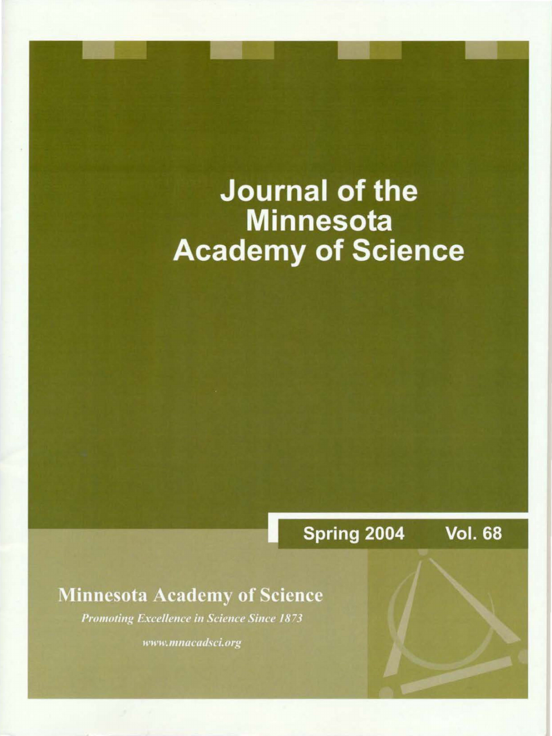# **Journal of the Minnesota Academy of Science**

Spring 2004 **Vol. 68** 

### **Minnesota Academy of Science**

**Promoting Excellence in Science Since 1873** 

www.mnacadsci.org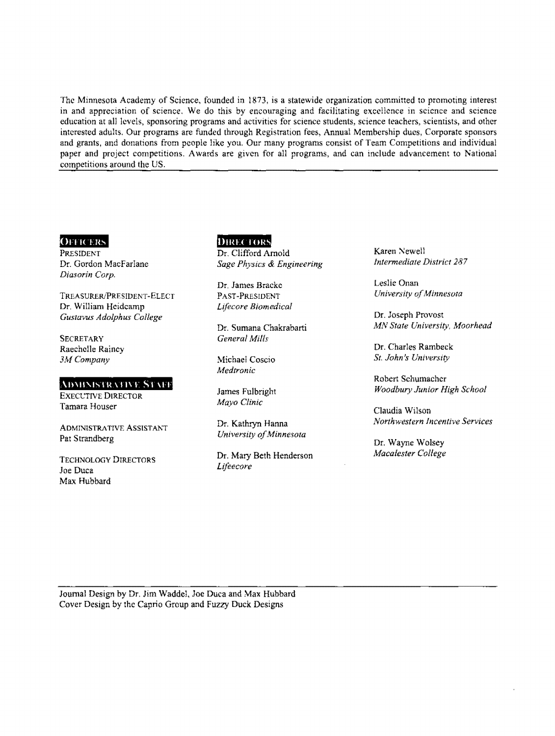The Minnesota Academy of Science, founded in 1873, is a statewide organization committed to promoting interest in and appreciation of science, We do this by encouraging and facilitating excellence in science and science education at all levels, sponsoring programs and activities for science students, science teachers, scientists, and other interested adults. Our programs are funded through Registration fees, Annual Membership dues, Corporate sponsors and grants, and donations from people like you. Our many programs consist of Team Competitions and individual paper and project competitions. Awards are given for all programs, and can include advancement to National competitions around the US.

#### **OFFICERS**

PRESIDENT Dr. Gordon Macfarlane *Diasorin Corp.* 

TREASURER/PRESIDENT-ELECT Dr, William Hcidcamp *Gustavus Adolphus College* 

**SECRETARY** Raechclle Rainey *3M Company* 

#### ADMINISTRATIVE STAFF

EXECL'TIVE DIRECTOR Tamara Houser

ADMINISTRATIVE ASSISTANT Pat Strandberg

TECHNOLOGY DIRECTORS Joe Duca Max Hubbard

#### **DIRECTORS** Dr. Clifford Arnold

*Sage Physics & Engineering* 

Dr, James Brackc PAST-PRESIDENT *Lifecore Biomedical* 

Dr. Sumana Chakrabarti *General Mills* 

Michael Coscio *Medtronic* 

James Fulbright *Mayo Clinic* 

Dr. Kathryn Hanna *University of Minnesota* 

Dr. Mary Beth Henderson *Lifeecore* 

Karen Newell *Intermediate District 287* 

Leslie Onan *University of Minnesota* 

Dr. Joseph Provost *MlV State University, Moorhead* 

Dr. Charles Rambeck *St. John's University* 

Robert Schumacher *Woodbury Junior High School* 

Claudia Wilson *ll/orthwestern Incentive Services* 

Dr. Wayne Wolsey *Macalester College* 

Journal Design by Dr. Jim Waddel, Joe Duca and Max Hubbard Cover Design by the Caprio Group and Fuzzy Duck Designs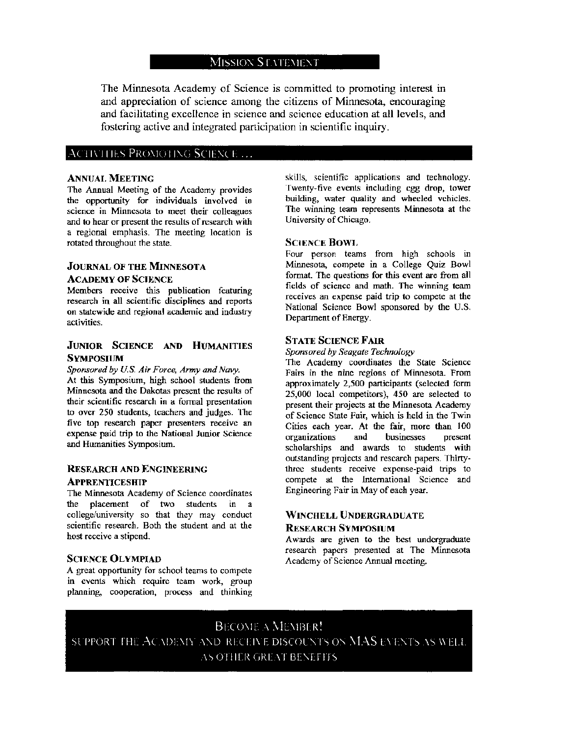#### MISSION STATEMENT

The Minnesota Academy of Science is committed to promoting interest in and appreciation of science among the citizens of Minnesota, encouraging and facilitating excellence in science and science education at all levels, and fostering active and integrated participation in scientific inquiry.

#### $\Lambda$ CTIVITIES PROMOTING SCIENCE ...

#### **ANNUAL MEETING**

The Annual Meeting of the Academy provides the opportunity for individuals involved in science in Minnesota to meet their colleagues and to hear or present the results of research with a regional emphasis. The meeting location is rotated throughout the state.

#### JOURNAL OF THE MINNESOTA ACADEMY OF SCIENCE

Members receive this publication featuring research in all scientific disciplines and reports on statewide and regional academic and industry activities.

#### JUNIOR SCIENCE AND HUMANITIES **SYMPOSIUM**

#### *Sponsored by U.S. Air Force, Army and Navy.*  At this Symposium, high school students from Minnesota and the Dakotas present the results of their scientific research in a formal presentation to over 250 students, teachers and judges. The five top research paper presenters receive an expense paid trip to the National Junior Science and Humanities Symposium.

#### RESEARCH AND ENGINEERING

#### **APPRENTICESHIP**

The Minnesota Academy of Science coordinates the placement of two students in a college/university so that they may conduct scientific research. Both the student and at the host receive a stipend.

#### SCIENCE OLYMPIAD

A great opportunity for school teams to compete in events which require team work, group planning, cooperation, process and thinking skills, scientific applications and technology. Twenty~five events including egg drop, tower building, water quality and wheeled vehicles. The winning team represents Minnesota at the University of Chicago.

#### SCIENCE BOWi,

Four person teams from high schools in Minnesota, compete in a College Quiz Bowl format. The questions for this event are from all fields of science and math. The winning team receives an expense paid trip to compete at the National Science Bowl sponsored by the U.S. Department of Energy.

#### STATE SCIENCE FAIR

*Sponsored by Seagate Technology* 

The Academy coordinates the State Science Fairs in the nine regions of Minnesota. From approximately 2,500 participants (selected form 25,000 local competitors), 450 are selected to present their projects at the Minnesota Academy of Science State Fair, which is held in the Twin Cities each year. At the fair, more than JOO organizations and businesses present scholarships and awards to students with outstanding projects and research papers. Thirtythree students receive expense-paid trips to compete at the International Science and Engineering Fair in May of each year.

#### WINCHELL UNDERGRADUATE RESEARCH SYMPOSIUM

Awards arc given to the best undergraduate research papers presented at The Minnesota Academy of Science Annual meeting.

BECOME A MEMBER! SUPPORT THE ACADEMY AND RECEIVE DISCOUNTS ON MAS EVENTS AS WELL. AS OTHER GREAT BENEFITS.